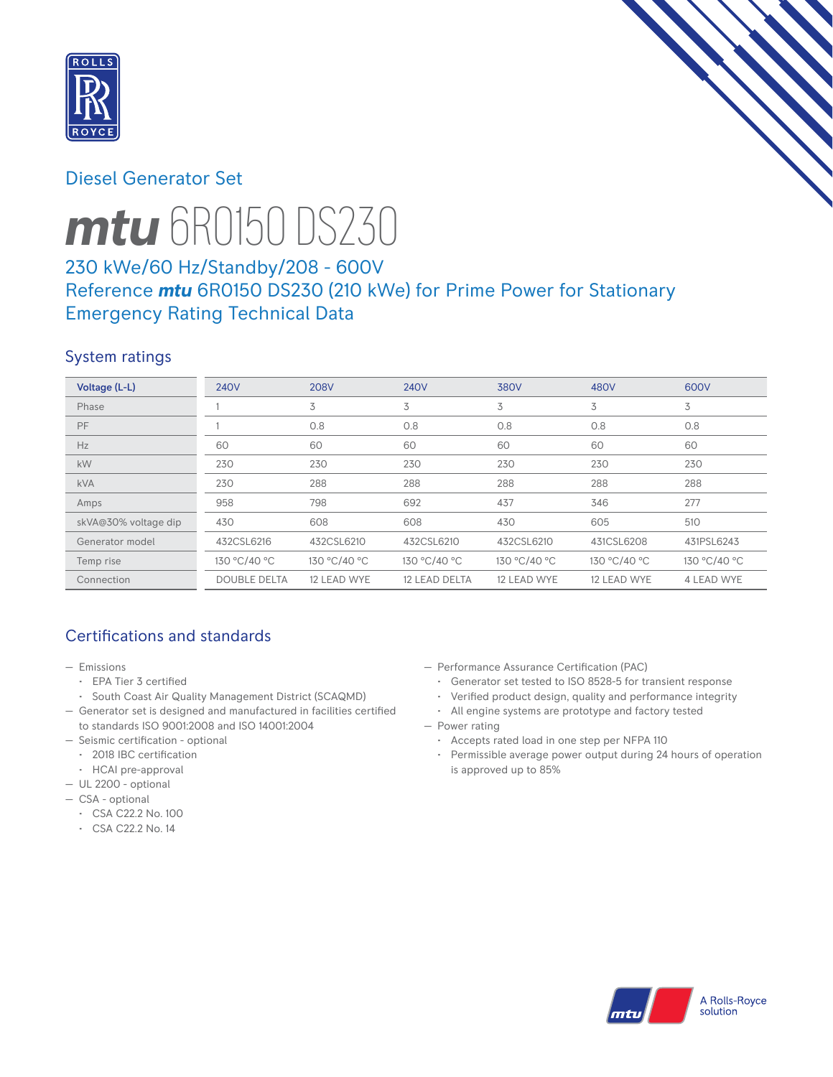

# Diesel Generator Set



# *mtu* 6R0150 DS230

# 230 kWe/60 Hz/Standby/208 - 600V Reference *mtu* 6R0150 DS230 (210 kWe) for Prime Power for Stationary Emergency Rating Technical Data

# System ratings

| Voltage (L-L)        | <b>240V</b>         | <b>208V</b>  | <b>240V</b>   | 380V         | 480V         | 600V         |
|----------------------|---------------------|--------------|---------------|--------------|--------------|--------------|
| Phase                |                     | 3            | 3             | 3            | 3            | 3            |
| <b>PF</b>            |                     | 0.8          | 0.8           | 0.8          | 0.8          | 0.8          |
| Hz                   | 60                  | 60           | 60            | 60           | 60           | 60           |
| kW                   | 230                 | 230          | 230           | 230          | 230          | 230          |
| <b>kVA</b>           | 230                 | 288          | 288           | 288          | 288          | 288          |
| Amps                 | 958                 | 798          | 692           | 437          | 346          | 277          |
| skVA@30% voltage dip | 430                 | 608          | 608           | 430          | 605          | 510          |
| Generator model      | 432CSL6216          | 432CSL6210   | 432CSL6210    | 432CSL6210   | 431CSL6208   | 431PSL6243   |
| Temp rise            | 130 °C/40 °C        | 130 °C/40 °C | 130 °C/40 °C  | 130 °C/40 °C | 130 °C/40 °C | 130 °C/40 °C |
| Connection           | <b>DOUBLE DELTA</b> | 12 LEAD WYE  | 12 LEAD DELTA | 12 LEAD WYE  | 12 LEAD WYE  | 4 LEAD WYE   |

# Certifications and standards

- Emissions
	- EPA Tier 3 certified
- South Coast Air Quality Management District (SCAQMD)
- Generator set is designed and manufactured in facilities certified to standards ISO 9001:2008 and ISO 14001:2004
- Seismic certification optional
- 2018 IBC certification
- HCAI pre-approval
- UL 2200 optional
- CSA optional
	- CSA C22.2 No. 100
	- CSA C22.2 No. 14
- Performance Assurance Certification (PAC)
	- Generator set tested to ISO 8528-5 for transient response
- Verified product design, quality and performance integrity
- All engine systems are prototype and factory tested
- Power rating
	- Accepts rated load in one step per NFPA 110
	- Permissible average power output during 24 hours of operation is approved up to 85%

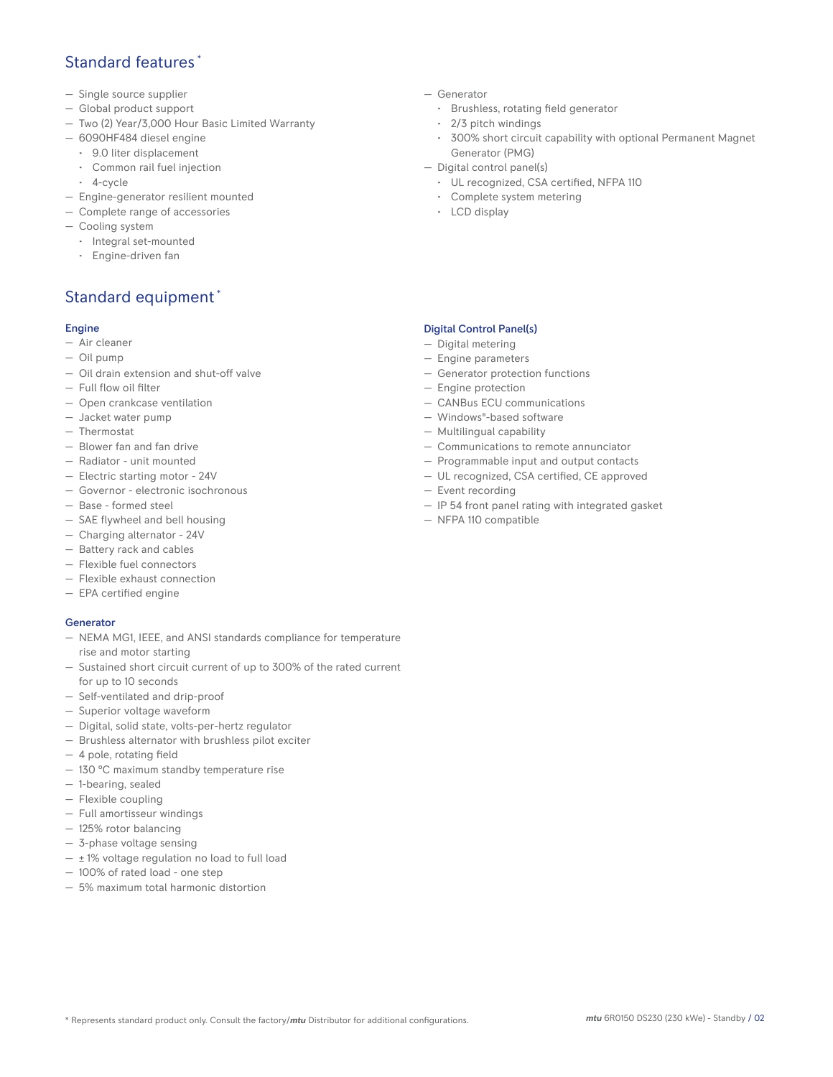## Standard features \*

- Single source supplier
- Global product support
- Two (2) Year/3,000 Hour Basic Limited Warranty
- 6090HF484 diesel engine
	- 9.0 liter displacement
	- Common rail fuel injection
	- 4-cycle
- Engine-generator resilient mounted
- Complete range of accessories
- Cooling system
- Integral set-mounted
	- Engine-driven fan

# Standard equipment \*

## Engine

- Air cleaner
- Oil pump
- Oil drain extension and shut-off valve
- Full flow oil filter
- Open crankcase ventilation
- Jacket water pump
- Thermostat
- Blower fan and fan drive
- Radiator unit mounted
- Electric starting motor 24V
- Governor electronic isochronous
- Base formed steel
- SAE flywheel and bell housing
- Charging alternator 24V
- Battery rack and cables
- Flexible fuel connectors
- Flexible exhaust connection
- EPA certified engine

## **Generator**

- NEMA MG1, IEEE, and ANSI standards compliance for temperature rise and motor starting
- Sustained short circuit current of up to 300% of the rated current for up to 10 seconds
- Self-ventilated and drip-proof
- Superior voltage waveform
- Digital, solid state, volts-per-hertz regulator
- Brushless alternator with brushless pilot exciter
- 4 pole, rotating field
- 130 °C maximum standby temperature rise
- 1-bearing, sealed
- Flexible coupling
- Full amortisseur windings
- 125% rotor balancing
- 3-phase voltage sensing
- $\pm$  1% voltage regulation no load to full load
- 100% of rated load one step
- 5% maximum total harmonic distortion
- Generator
	- Brushless, rotating field generator
	- 2/3 pitch windings
	- 300% short circuit capability with optional Permanent Magnet Generator (PMG)
- Digital control panel(s)
	- UL recognized, CSA certified, NFPA 110
	- Complete system metering
	- LCD display

## Digital Control Panel(s)

- Digital metering
- Engine parameters
- Generator protection functions
- Engine protection
- CANBus ECU communications
- Windows®-based software
- Multilingual capability
- Communications to remote annunciator
- Programmable input and output contacts
- UL recognized, CSA certified, CE approved
- Event recording
- IP 54 front panel rating with integrated gasket
- NFPA 110 compatible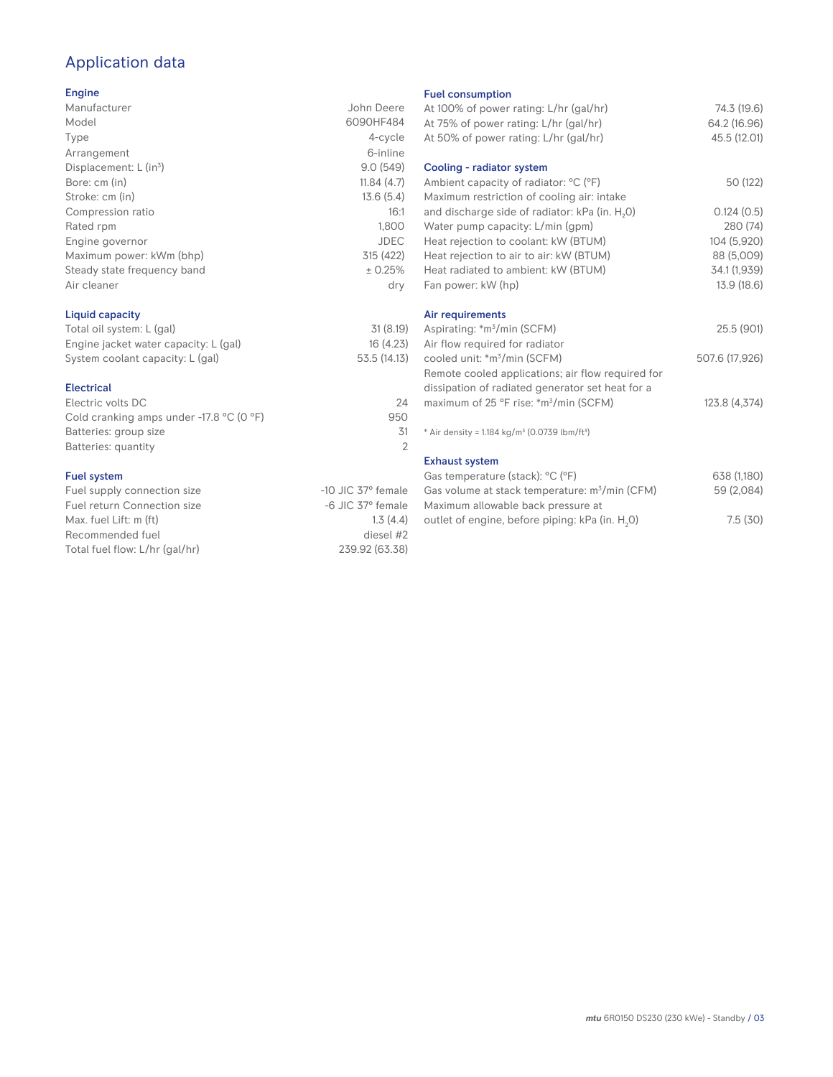# Application data

## Engine

| Manufacturer                | John Deere |
|-----------------------------|------------|
| Model                       | 6090HF484  |
| Type                        | 4-cycle    |
| Arrangement                 | 6-inline   |
| Displacement: $L (in3)$     | 9.0(549)   |
| Bore: cm (in)               | 11.84(4.7) |
| Stroke: cm (in)             | 13.6(5.4)  |
| Compression ratio           | 16:1       |
| Rated rpm                   | 1,800      |
| Engine governor             | JDEC       |
| Maximum power: kWm (bhp)    | 315 (422)  |
| Steady state frequency band | ± 0.25%    |
| Air cleaner                 | dry        |
|                             |            |

## Liquid capacity

| Total oil system: L (gal)             | 31(8.19)     |
|---------------------------------------|--------------|
| Engine jacket water capacity: L (gal) | 16(4.23)     |
| System coolant capacity: L (gal)      | 53.5 (14.13) |

## Electrical

| Electric volts DC                                            | 24  |
|--------------------------------------------------------------|-----|
| Cold cranking amps under -17.8 $^{\circ}$ C (O $^{\circ}$ F) | 950 |
| Batteries: group size                                        | .31 |
| Batteries: quantity                                          |     |
|                                                              |     |

## Fuel system

| $-10$ JIC 37 $\degree$ female |
|-------------------------------|
| $-6$ JIC 37 $^{\circ}$ female |
| 1.3(4.4)                      |
| diesel #2                     |
| 239.92 (63.38)                |
|                               |

### Fuel consumption

| At 100% of power rating: L/hr (gal/hr)<br>At 75% of power rating: L/hr (gal/hr)     | 74.3 (19.6)<br>64.2 (16.96) |
|-------------------------------------------------------------------------------------|-----------------------------|
| At 50% of power rating: L/hr (gal/hr)                                               | 45.5 (12.01)                |
| Cooling - radiator system                                                           |                             |
| Ambient capacity of radiator: °C (°F)<br>Maximum restriction of cooling air: intake | 50 (122)                    |
| and discharge side of radiator: kPa (in. H <sub>2</sub> O)                          | 0.124(0.5)                  |
| Water pump capacity: L/min (gpm)                                                    | 280 (74)                    |
| Heat rejection to coolant: kW (BTUM)                                                | 104 (5,920)                 |
| Heat rejection to air to air: kW (BTUM)                                             | 88 (5,009)                  |
| Heat radiated to ambient: kW (BTUM)                                                 | 34.1 (1,939)                |
| Fan power: kW (hp)                                                                  | 13.9 (18.6)                 |
| Air requirements                                                                    |                             |
| Aspirating: *m <sup>3</sup> /min (SCFM)                                             | 25.5 (901)                  |
| Air flow required for radiator                                                      |                             |
| cooled unit: *m <sup>3</sup> /min (SCFM)                                            | 507.6 (17,926)              |
| Remote cooled applications; air flow required for                                   |                             |
| dissipation of radiated generator set heat for a                                    |                             |
| maximum of 25 °F rise: *m <sup>3</sup> /min (SCFM)                                  | 123.8 (4,374)               |
| * Air density = $1.184 \text{ kg/m}^3$ (0.0739 lbm/ft <sup>3</sup> )                |                             |
| <b>Exhaust system</b>                                                               |                             |
| Gas temperature (stack): °C (°F)                                                    | 638 (1,180)                 |
| Gas volume at stack temperature: m <sup>3</sup> /min (CFM)                          | 59 (2,084)                  |
| Maximum allowable back pressure at                                                  |                             |
| outlet of engine, before piping: kPa (in. H <sub>2</sub> 0)                         | 7.5(30)                     |